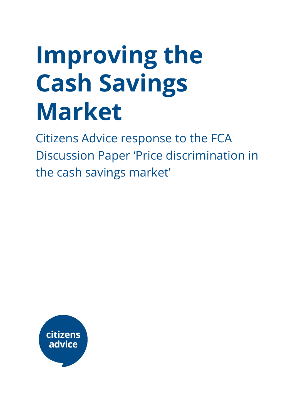# **Improving the Cash Savings Market**

Citizens Advice response to the FCA Discussion Paper 'Price discrimination in the cash savings market'

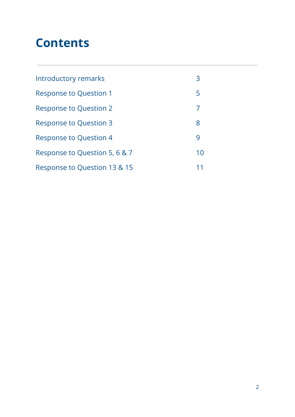## **Contents**

| Introductory remarks          | 3  |
|-------------------------------|----|
|                               |    |
| <b>Response to Question 1</b> | 5  |
| <b>Response to Question 2</b> | 7  |
| <b>Response to Question 3</b> | 8  |
| <b>Response to Question 4</b> | 9  |
| Response to Question 5, 6 & 7 | 10 |
| Response to Question 13 & 15  |    |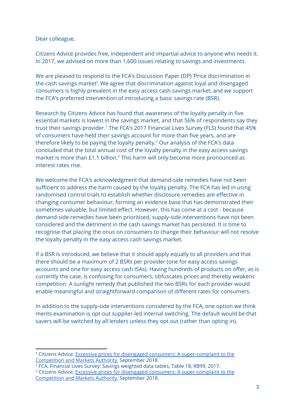Dear colleague,

Citizens Advice provides free, independent and impartial advice to anyone who needs it. In 2017, we advised on more than 1,600 issues relating to savings and investments.

We are pleased to respond to the FCA's Discussion Paper (DP) 'Price discrimination in the cash savings market'. We agree that discrimination against loyal and disengaged consumers is highly prevalent in the easy access cash savings market, and we support the FCA's preferred intervention of introducing a basic savings rate (BSR).

Research by Citizens Advice has found that awareness of the loyalty penalty in five essential markets is lowest in the savings market, and that 56% of respondents say they trust their savings provider. <sup>1</sup> The FCA's 2017 Financial Lives Survey (FLS) found that 45% of consumers have held their savings account for more than five years, and are therefore likely to be paying the loyalty penalty.<sup>2</sup> Our analysis of the FCA's data concluded that the total annual cost of the loyalty penalty in the easy access savings market is more than  $£1.1$  billion.<sup>3</sup> This harm will only become more pronounced as interest rates rise.

We welcome the FCA's acknowledgment that demand-side remedies have not been sufficient to address the harm caused by the loyalty penalty. The FCA has led in using randomised control trials to establish whether disclosure remedies are effective in changing consumer behaviour, forming an evidence base that has demonstrated their sometimes valuable, but limited effect. However, this has come at a cost - because demand-side remedies have been prioritised, supply-side interventions have not been considered and the detriment in the cash savings market has persisted. It is time to recognise that placing the onus on consumers to change their behaviour will not resolve the loyalty penalty in the easy access cash savings market.

If a BSR is introduced, we believe that it should apply equally to all providers and that there should be a maximum of 2 BSRs per provider (one for easy access savings accounts and one for easy access cash ISAs). Having hundreds of products on offer, as is currently the case, is confusing for consumers, obfuscates prices and thereby weakens competition. A sunlight remedy that published the two BSRs for each provider would enable meaningful and straightforward comparison of different rates for consumers.

In addition to the supply-side interventions considered by the FCA, one option we think merits examination is opt-out supplier-led internal switching. The default would be that savers will be switched by all lenders unless they opt out (rather than opting in).

<sup>2</sup> FCA, Financial Lives Survey: Savings weighted data tables, Table 18, RB99, 2017.

<sup>1</sup> Citizens Advice, Excessive prices for disengaged consumers: A [super-complaint](https://www.citizensadvice.org.uk/about-us/policy/policy-research-topics/consumer-policy-research/consumer-policy-research/excessive-prices-for-disengaged-consumers-a-super-complaint-to-the-competition-and-markets-authority/) to the [Competition](https://www.citizensadvice.org.uk/about-us/policy/policy-research-topics/consumer-policy-research/consumer-policy-research/excessive-prices-for-disengaged-consumers-a-super-complaint-to-the-competition-and-markets-authority/) and Markets Authority, September 2018.

<sup>&</sup>lt;sup>3</sup> Citizens Advice, Excessive prices for disengaged consumers: A [super-complaint](https://www.citizensadvice.org.uk/about-us/policy/policy-research-topics/consumer-policy-research/consumer-policy-research/excessive-prices-for-disengaged-consumers-a-super-complaint-to-the-competition-and-markets-authority/) to the [Competition](https://www.citizensadvice.org.uk/about-us/policy/policy-research-topics/consumer-policy-research/consumer-policy-research/excessive-prices-for-disengaged-consumers-a-super-complaint-to-the-competition-and-markets-authority/) and Markets Authority, September 2018.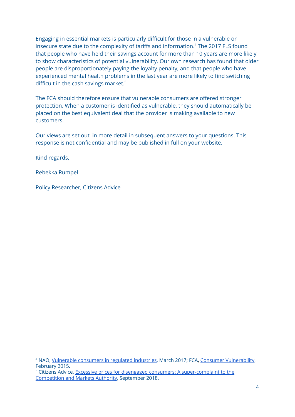Engaging in essential markets is particularly difficult for those in a vulnerable or insecure state due to the complexity of tariffs and information. $4$  The 2017 FLS found that people who have held their savings account for more than 10 years are more likely to show characteristics of potential vulnerability. Our own research has found that older people are disproportionately paying the loyalty penalty, and that people who have experienced mental health problems in the last year are more likely to find switching difficult in the cash savings market. 5

The FCA should therefore ensure that vulnerable consumers are offered stronger protection. When a customer is identified as vulnerable, they should automatically be placed on the best equivalent deal that the provider is making available to new customers.

Our views are set out in more detail in subsequent answers to your questions. This response is not confidential and may be published in full on your website.

Kind regards,

Rebekka Rumpel

Policy Researcher, Citizens Advice

<sup>4</sup> NAO, Vulnerable [consumers](https://www.nao.org.uk/wp-content/uploads/2017/03/Vulnerable-consumers-in-regulated-industries.pdf) in regulated industries[,](https://www.nao.org.uk/wp-content/uploads/2017/03/Vulnerable-consumers-in-regulated-industries.pdf) March 2017; FCA, Consumer [Vulnerability](https://www.fca.org.uk/publications/occasional-papers/occasional-paper-no-8-consumer-vulnerability), February 2015.

<sup>&</sup>lt;sup>5</sup> Citizens Advice, Excessive prices for disengaged consumers: A [super-complaint](https://www.citizensadvice.org.uk/about-us/policy/policy-research-topics/consumer-policy-research/consumer-policy-research/excessive-prices-for-disengaged-consumers-a-super-complaint-to-the-competition-and-markets-authority/) to the [Competition](https://www.citizensadvice.org.uk/about-us/policy/policy-research-topics/consumer-policy-research/consumer-policy-research/excessive-prices-for-disengaged-consumers-a-super-complaint-to-the-competition-and-markets-authority/) and Markets Authority, September 2018.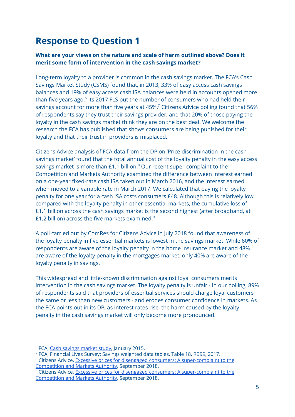## **Response to Question 1**

#### **What are your views on the nature and scale of harm outlined above? Does it merit some form of intervention in the cash savings market?**

Long-term loyalty to a provider is common in the cash savings market. The FCA's Cash Savings Market Study (CSMS) found that, in 2013, 33% of easy access cash savings balances and 19% of easy access cash ISA balances were held in accounts opened more than five years ago. $6$  Its 2017 FLS put the number of consumers who had held their savings account for more than five years at 45%. $^7$  Citizens Advice polling found that 56%  $\,$ of respondents say they trust their savings provider, and that 20% of those paying the loyalty in the cash savings market think they are on the best deal. We welcome the research the FCA has published that shows consumers are being punished for their loyalty and that their trust in providers is misplaced.

Citizens Advice analysis of FCA data from the DP on 'Price discrimination in the cash savings market' found that the total annual cost of the loyalty penalty in the easy access savings market is more than  $£1.1$  billion. $8$  Our recent super-complaint to the Competition and Markets Authority examined the difference between interest earned on a one-year fixed-rate cash ISA taken out in March 2016, and the interest earned when moved to a variable rate in March 2017. We calculated that paying the loyalty penalty for one year for a cash ISA costs consumers £48. Although this is relatively low compared with the loyalty penalty in other essential markets, the cumulative loss of £1.1 billion across the cash savings market is the second highest (after broadband, at £1.2 billion) across the five markets examined. $^9$ 

A poll carried out by ComRes for Citizens Advice in July 2018 found that awareness of the loyalty penalty in five essential markets is lowest in the savings market. While 60% of respondents are aware of the loyalty penalty in the home insurance market and 48% are aware of the loyalty penalty in the mortgages market, only 40% are aware of the loyalty penalty in savings.

This widespread and little-known discrimination against loyal consumers merits intervention in the cash savings market. The loyalty penalty is unfair - in our polling, 89% of respondents said that providers of essential services should charge loyal customers the same or less than new customers - and erodes consumer confidence in markets. As the FCA points out in its DP, as interest rates rise, the harm caused by the loyalty penalty in the cash savings market will only become more pronounced.

<sup>&</sup>lt;sup>6</sup> FCA, Cash [savings](https://www.fca.org.uk/publications/market-studies/cash-savings-market-study) market study, January 2015.

<sup>7</sup> FCA, Financial Lives Survey: Savings weighted data tables, Table 18, RB99, 2017.

<sup>8</sup> Citizens Advice, Excessive prices for disengaged consumers: A [super-complaint](https://www.citizensadvice.org.uk/about-us/policy/policy-research-topics/consumer-policy-research/consumer-policy-research/excessive-prices-for-disengaged-consumers-a-super-complaint-to-the-competition-and-markets-authority/) to the [Competition](https://www.citizensadvice.org.uk/about-us/policy/policy-research-topics/consumer-policy-research/consumer-policy-research/excessive-prices-for-disengaged-consumers-a-super-complaint-to-the-competition-and-markets-authority/) and Markets Authority, September 2018.

<sup>&</sup>lt;sup>9</sup> Citizens Advice, Excessive prices for disengaged consumers: A [super-complaint](https://www.citizensadvice.org.uk/about-us/policy/policy-research-topics/consumer-policy-research/consumer-policy-research/excessive-prices-for-disengaged-consumers-a-super-complaint-to-the-competition-and-markets-authority/) to the [Competition](https://www.citizensadvice.org.uk/about-us/policy/policy-research-topics/consumer-policy-research/consumer-policy-research/excessive-prices-for-disengaged-consumers-a-super-complaint-to-the-competition-and-markets-authority/) and Markets Authority, September 2018.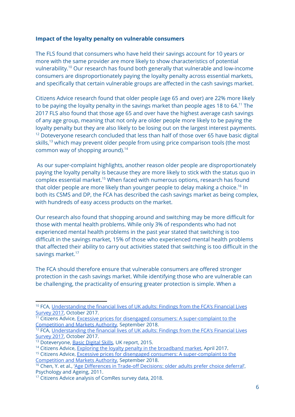#### **Impact of the loyalty penalty on vulnerable consumers**

The FLS found that consumers who have held their savings account for 10 years or more with the same provider are more likely to show characteristics of potential vulnerability. $^{10}$  Our research has found both generally that vulnerable and low-income consumers are disproportionately paying the loyalty penalty across essential markets, and specifically that certain vulnerable groups are affected in the cash savings market.

Citizens Advice research found that older people (age 65 and over) are 22% more likely to be paying the loyalty penalty in the savings market than people ages 18 to 64. $^{\rm 11}$  The 2017 FLS also found that those age 65 and over have the highest average cash savings of any age group, meaning that not only are older people more likely to be paying the loyalty penalty but they are also likely to be losing out on the largest interest payments.  $12$  Doteveryone research concluded that less than half of those over 65 have basic digital skills,<sup>13</sup> which may prevent older people from using price comparison tools (the most common way of shopping around). 14

As our super-complaint highlights, another reason older people are disproportionately paying the loyalty penalty is because they are more likely to stick with the status quo in  $complex$  essential market.<sup>15</sup> When faced with numerous options, research has found that older people are more likely than younger people to delay making a choice.<sup>16</sup> In both its CSMS and DP, the FCA has described the cash savings market as being complex, with hundreds of easy access products on the market.

Our research also found that shopping around and switching may be more difficult for those with mental health problems. While only 3% of respondents who had not experienced mental health problems in the past year stated that switching is too difficult in the savings market, 15% of those who experienced mental health problems that affected their ability to carry out activities stated that switching is too difficult in the savings market.<sup>17</sup>

The FCA should therefore ensure that vulnerable consumers are offered stronger protection in the cash savings market. While identifying those who are vulnerable can be challenging, the practicality of ensuring greater protection is simple. When a

<sup>&</sup>lt;sup>10</sup> FCA, [Understanding](https://www.fca.org.uk/publication/research/financial-lives-survey-2017.pdf) the financial lives of UK adults: Findings from the FCA's Financial Lives [Survey](https://www.fca.org.uk/publication/research/financial-lives-survey-2017.pdf) 2017, October 2017.

<sup>&</sup>lt;sup>11</sup> Citizens Advice, Excessive prices for disengaged consumers: A [super-complaint](https://www.citizensadvice.org.uk/about-us/policy/policy-research-topics/consumer-policy-research/consumer-policy-research/excessive-prices-for-disengaged-consumers-a-super-complaint-to-the-competition-and-markets-authority/) to the [Competition](https://www.citizensadvice.org.uk/about-us/policy/policy-research-topics/consumer-policy-research/consumer-policy-research/excessive-prices-for-disengaged-consumers-a-super-complaint-to-the-competition-and-markets-authority/) and Markets Authority, September 2018.

<sup>&</sup>lt;sup>12</sup> FCA, [Understanding](https://www.fca.org.uk/publication/research/financial-lives-survey-2017.pdf) the financial lives of UK adults: Findings from the FCA's Financial Lives [Survey](https://www.fca.org.uk/publication/research/financial-lives-survey-2017.pdf) 2017, October 2017.

<sup>&</sup>lt;sup>13</sup> Doteveryone, Basic [Digital](https://s3-eu-west-1.amazonaws.com/digitalbirmingham/resources/Basic-Digital-Skills_UK-Report-2015_131015_FINAL.pdf) Skills, UK [report](https://s3-eu-west-1.amazonaws.com/digitalbirmingham/resources/Basic-Digital-Skills_UK-Report-2015_131015_FINAL.pdf), 2015.

<sup>&</sup>lt;sup>14</sup> Citizens Advice, Exploring the loyalty penalty in the [broadband](https://www.citizensadvice.org.uk/Global/CitizensAdvice/Consumer%20publications/CitizensAdvice-Exploringtheloyaltypenaltyinthebroadbandmarket.pdf) market, April 2017.

<sup>&</sup>lt;sup>15</sup> Citizens Advice, Excessive prices for disengaged consumers: A [super-complaint](https://www.citizensadvice.org.uk/about-us/policy/policy-research-topics/consumer-policy-research/consumer-policy-research/excessive-prices-for-disengaged-consumers-a-super-complaint-to-the-competition-and-markets-authority/) to the [Competition](https://www.citizensadvice.org.uk/about-us/policy/policy-research-topics/consumer-policy-research/consumer-policy-research/excessive-prices-for-disengaged-consumers-a-super-complaint-to-the-competition-and-markets-authority/) and Markets Authority, September 2018.

<sup>&</sup>lt;sup>16</sup> Chen, Y. et al., 'Age [Differences](https://www.ncbi.nlm.nih.gov/pmc/articles/PMC3889202/) in Trade-off Decisions: older adults prefer choice deferral', Psychology and Ageing, 2011.

<sup>&</sup>lt;sup>17</sup> Citizens Advice analysis of ComRes survey data, 2018.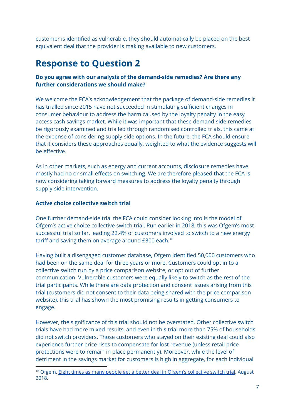customer is identified as vulnerable, they should automatically be placed on the best equivalent deal that the provider is making available to new customers.

## **Response to Question 2**

#### **Do you agree with our analysis of the demand-side remedies? Are there any further considerations we should make?**

We welcome the FCA's acknowledgement that the package of demand-side remedies it has trialled since 2015 have not succeeded in stimulating sufficient changes in consumer behaviour to address the harm caused by the loyalty penalty in the easy access cash savings market. While it was important that these demand-side remedies be rigorously examined and trialled through randomised controlled trials, this came at the expense of considering supply-side options. In the future, the FCA should ensure that it considers these approaches equally, weighted to what the evidence suggests will be effective.

As in other markets, such as energy and current accounts, disclosure remedies have mostly had no or small effects on switching. We are therefore pleased that the FCA is now considering taking forward measures to address the loyalty penalty through supply-side intervention.

#### **Active choice collective switch trial**

One further demand-side trial the FCA could consider looking into is the model of Ofgem's active choice collective switch trial. Run earlier in 2018, this was Ofgem's most successful trial so far, leading 22.4% of customers involved to switch to a new energy tariff and saving them on average around £300 each. $^{18}$ 

Having built a disengaged customer database, Ofgem identified 50,000 customers who had been on the same deal for three years or more. Customers could opt in to a collective switch run by a price comparison website, or opt out of further communication. Vulnerable customers were equally likely to switch as the rest of the trial participants. While there are data protection and consent issues arising from this trial (customers did not consent to their data being shared with the price comparison website), this trial has shown the most promising results in getting consumers to engage.

However, the significance of this trial should not be overstated. Other collective switch trials have had more mixed results, and even in this trial more than 75% of households did not switch providers. Those customers who stayed on their existing deal could also experience further price rises to compensate for lost revenue (unless retail price protections were to remain in place permanently). Moreover, while the level of detriment in the savings market for customers is high in aggregate, for each individual

<sup>&</sup>lt;sup>18</sup> Ofgem, **Eight times as many people get a better deal in Ofgem's [collective](https://www.ofgem.gov.uk/publications-and-updates/eight-times-many-people-get-better-deal-ofgem-s-collective-switch-trial) switch trial, August** 2018.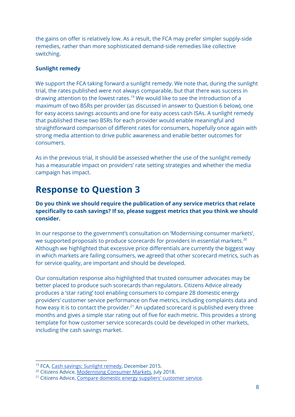the gains on offer is relatively low. As a result, the FCA may prefer simpler supply-side remedies, rather than more sophisticated demand-side remedies like collective switching.

#### **Sunlight remedy**

We support the FCA taking forward a sunlight remedy. We note that, during the sunlight trial, the rates published were not always comparable, but that there was success in drawing attention to the lowest rates.<sup>19</sup> We would like to see the introduction of a maximum of two BSRs per provider (as discussed in answer to Question 6 below), one for easy access savings accounts and one for easy access cash ISAs. A sunlight remedy that published these two BSRs for each provider would enable meaningful and straightforward comparison of different rates for consumers, hopefully once again with strong media attention to drive public awareness and enable better outcomes for consumers.

As in the previous trial, it should be assessed whether the use of the sunlight remedy has a measurable impact on providers' rate setting strategies and whether the media campaign has impact.

## **Response to Question 3**

**Do you think we should require the publication of any service metrics that relate specifically to cash savings? If so, please suggest metrics that you think we should consider.**

In our response to the government's consultation on 'Modernising consumer markets', we supported proposals to produce scorecards for providers in essential markets. $^{20}$ Although we highlighted that excessive price differentials are currently the biggest way in which markets are failing consumers, we agreed that other scorecard metrics, such as for service quality, are important and should be developed.

Our consultation response also highlighted that trusted consumer advocates may be better placed to produce such scorecards than regulators. Citizens Advice already produces a 'star rating' tool enabling consumers to compare 28 domestic energy providers' customer service performance on five metrics, including complaints data and how easy it is to contact the provider. $21$  An updated scorecard is published every three months and gives a simple star rating out of five for each metric. This provides a strong template for how customer service scorecards could be developed in other markets, including the cash savings market.

<sup>&</sup>lt;sup>19</sup> FCA, Cash savings: [Sunlight](https://www.fca.org.uk/news/news-stories/cash-savings-sunlight-remedy) remedy, December 2015.

<sup>&</sup>lt;sup>20</sup> Citizens Advice, [Modernising](https://www.citizensadvice.org.uk/Global/CitizensAdvice/Consumer%20publications/Modernising%20consumer%20markets_%20a%20response%20from%20Citizens%20Advice.pdf) Consumer Markets, July 2018.

<sup>&</sup>lt;sup>21</sup> Citizens Advice, Compare domestic energy [suppliers'](https://www.citizensadvice.org.uk/about-us/how-citizens-advice-works/citizens-advice-consumer-work/supplier-performance/energy-supplier-performance/compare-domestic-energy-suppliers-customer-service/) customer service.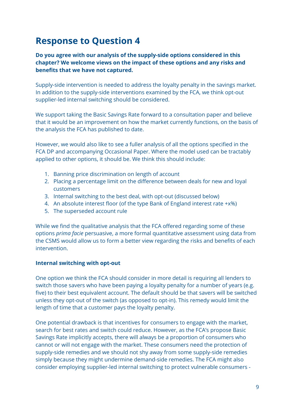## **Response to Question 4**

**Do you agree with our analysis of the supply-side options considered in this chapter? We welcome views on the impact of these options and any risks and benefits that we have not captured.**

Supply-side intervention is needed to address the loyalty penalty in the savings market. In addition to the supply-side interventions examined by the FCA, we think opt-out supplier-led internal switching should be considered.

We support taking the Basic Savings Rate forward to a consultation paper and believe that it would be an improvement on how the market currently functions, on the basis of the analysis the FCA has published to date.

However, we would also like to see a fuller analysis of all the options specified in the FCA DP and accompanying Occasional Paper. Where the model used can be tractably applied to other options, it should be. We think this should include:

- 1. Banning price discrimination on length of account
- 2. Placing a percentage limit on the difference between deals for new and loyal customers
- 3. Internal switching to the best deal, with opt-out (discussed below)
- 4. An absolute interest floor (of the type Bank of England interest rate +x%)
- 5. The superseded account rule

While we find the qualitative analysis that the FCA offered regarding some of these options *prima facie* persuasive, a more formal quantitative assessment using data from the CSMS would allow us to form a better view regarding the risks and benefits of each intervention.

#### **Internal switching with opt-out**

One option we think the FCA should consider in more detail is requiring all lenders to switch those savers who have been paying a loyalty penalty for a number of years (e.g. five) to their best equivalent account. The default should be that savers will be switched unless they opt-out of the switch (as opposed to opt-in). This remedy would limit the length of time that a customer pays the loyalty penalty.

One potential drawback is that incentives for consumers to engage with the market, search for best rates and switch could reduce. However, as the FCA's propose Basic Savings Rate implicitly accepts, there will always be a proportion of consumers who cannot or will not engage with the market. These consumers need the protection of supply-side remedies and we should not shy away from some supply-side remedies simply because they might undermine demand-side remedies. The FCA might also consider employing supplier-led internal switching to protect vulnerable consumers -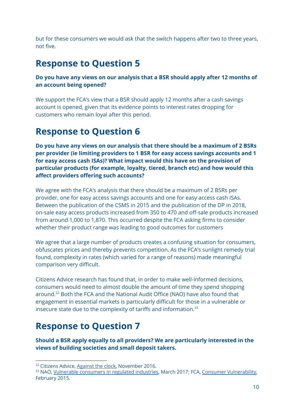but for these consumers we would ask that the switch happens after two to three years, not five.

## **Response to Question 5**

#### **Do you have any views on our analysis that a BSR should apply after 12 months of an account being opened?**

We support the FCA's view that a BSR should apply 12 months after a cash savings account is opened, given that its evidence points to interest rates dropping for customers who remain loyal after this period.

## **Response to Question 6**

**Do you have any views on our analysis that there should be a maximum of 2 BSRs per provider (ie limiting providers to 1 BSR for easy access savings accounts and 1 for easy access cash ISAs)? What impact would this have on the provision of particular products (for example, loyalty, tiered, branch etc) and how would this affect providers offering such accounts?**

We agree with the FCA's analysis that there should be a maximum of 2 BSRs per provider, one for easy access savings accounts and one for easy access cash ISAs. Between the publication of the CSMS in 2015 and the publication of the DP in 2018, on-sale easy access products increased from 350 to 470 and off-sale products increased from around 1,000 to 1,870. This occurred despite the FCA asking firms to consider whether their product range was leading to good outcomes for customers

We agree that a large number of products creates a confusing situation for consumers, obfuscates prices and thereby prevents competition. As the FCA's sunlight remedy trial found, complexity in rates (which varied for a range of reasons) made meaningful comparison very difficult.

Citizens Advice research has found that, in order to make well-informed decisions, consumers would need to almost double the amount of time they spend shopping around.<sup>22</sup> Both the FCA and the National Audit Office (NAO) have also found that engagement in essential markets is particularly difficult for those in a vulnerable or insecure state due to the complexity of tariffs and information. $^{23}$ 

## **Response to Question 7**

**Should a BSR apply equally to all providers? We are particularly interested in the views of building societies and small deposit takers.**

<sup>&</sup>lt;sup>22</sup> Citizens Advice, [Against](https://www.citizensadvice.org.uk/about-us/policy/policy-research-topics/consumer-policy-research/consumer-policy-research/against-the-clock-why-more-time-isnt-the-answer-for-consumers/) the clock, November 2016.

<sup>&</sup>lt;sup>23</sup> NAO, Vulnerable [consumers](https://www.nao.org.uk/wp-content/uploads/2017/03/Vulnerable-consumers-in-regulated-industries.pdf) in regulated industries[,](https://www.nao.org.uk/wp-content/uploads/2017/03/Vulnerable-consumers-in-regulated-industries.pdf) March 2017; FCA, Consumer [Vulnerability,](https://www.fca.org.uk/publications/occasional-papers/occasional-paper-no-8-consumer-vulnerability) February 2015.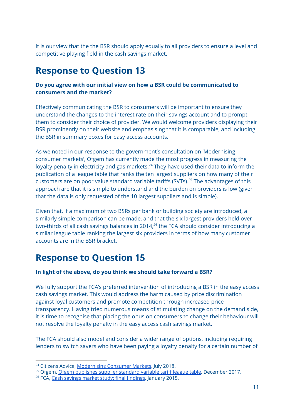It is our view that the the BSR should apply equally to all providers to ensure a level and competitive playing field in the cash savings market.

## **Response to Question 13**

#### **Do you agree with our initial view on how a BSR could be communicated to consumers and the market?**

Effectively communicating the BSR to consumers will be important to ensure they understand the changes to the interest rate on their savings account and to prompt them to consider their choice of provider. We would welcome providers displaying their BSR prominently on their website and emphasising that it is comparable, and including the BSR in summary boxes for easy access accounts.

As we noted in our response to the government's consultation on 'Modernising consumer markets', Ofgem has currently made the most progress in measuring the loyalty penalty in electricity and gas markets. $24$  They have used their data to inform the publication of a league table that ranks the ten largest suppliers on how many of their customers are on poor value standard variable tariffs (SVTs).<sup>25</sup> The advantages of this approach are that it is simple to understand and the burden on providers is low (given that the data is only requested of the 10 largest suppliers and is simple).

Given that, if a maximum of two BSRs per bank or building society are introduced, a similarly simple comparison can be made, and that the six largest providers held over two-thirds of all cash savings balances in 2014, $^{26}$  the FCA should consider introducing a similar league table ranking the largest six providers in terms of how many customer accounts are in the BSR bracket.

## **Response to Question 15**

#### **In light of the above, do you think we should take forward a BSR?**

We fully support the FCA's preferred intervention of introducing a BSR in the easy access cash savings market. This would address the harm caused by price discrimination against loyal customers and promote competition through increased price transparency. Having tried numerous means of stimulating change on the demand side, it is time to recognise that placing the onus on consumers to change their behaviour will not resolve the loyalty penalty in the easy access cash savings market.

The FCA should also model and consider a wider range of options, including requiring lenders to switch savers who have been paying a loyalty penalty for a certain number of

<sup>&</sup>lt;sup>24</sup> Citizens Advice, [Modernising](https://www.citizensadvice.org.uk/Global/CitizensAdvice/Consumer%20publications/Modernising%20consumer%20markets_%20a%20response%20from%20Citizens%20Advice.pdf) Consumer Markets, July 2018.

<sup>&</sup>lt;sup>25</sup> Ofgem, Ofgem [publishes](https://www.ofgem.gov.uk/publications-and-updates/ofgem-publishes-supplier-standard-variable-tariff-league-table) supplier standard variable tariff league table, December 2017.

<sup>&</sup>lt;sup>26</sup> FCA, Cash savings market study: final [findings](https://www.fca.org.uk/publication/market-studies/cash-savings-market-study-final-findings.pdf), January 2015.